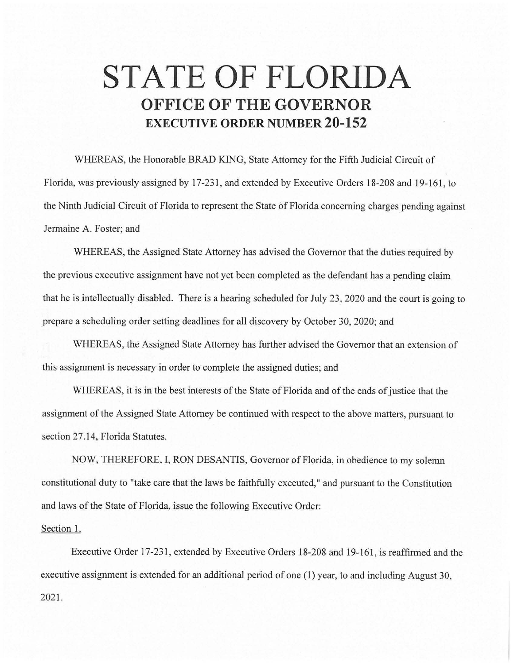## **STATE OF FLORIDA OFFICE OF THE GOVERNOR EXECUTIVE ORDER NUMBER 20-152**

WHEREAS, the Honorable BRAD KING, State Attorney for the Fifth Judicial Circuit of Florida, was previously assigned by 17-231, and extended by Executive Orders 18-208 and 19-161, to the Ninth Judicial Circuit of Florida to represent the State of Florida concerning charges pending against Jermaine A. Foster; and

WHEREAS, the Assigned State Attorney has advised the Governor that the duties required by the previous executive assignment have not yet been completed as the defendant has a pending claim that he is intellectually disabled. There is a hearing scheduled for July 23, 2020 and the court is going to prepare a scheduling order setting deadlines for all discovery by October 30, 2020; and

WHEREAS, the Assigned State Attorney has further advised the Governor that an extension of this assignment is necessary in order to complete the assigned duties; and

WHEREAS, it is in the best interests of the State of Florida and of the ends of justice that the assignment of the Assigned State Attorney be continued with respect to the above matters, pursuant to section 27.14, Florida Statutes.

NOW, THEREFORE, I, RON DESANTIS, Governor of Florida, in obedience to my solemn constitutional duty to "take care that the laws be faithfully executed," and pursuant to the Constitution and laws of the State of Florida, issue the following Executive Order:

## Section 1.

Executive Order 17-231, extended by Executive Orders 18-208 and 19-161, is reaffirmed and the executive assignment is extended for an additional period of one (1) year, to and including August 30, 2021.